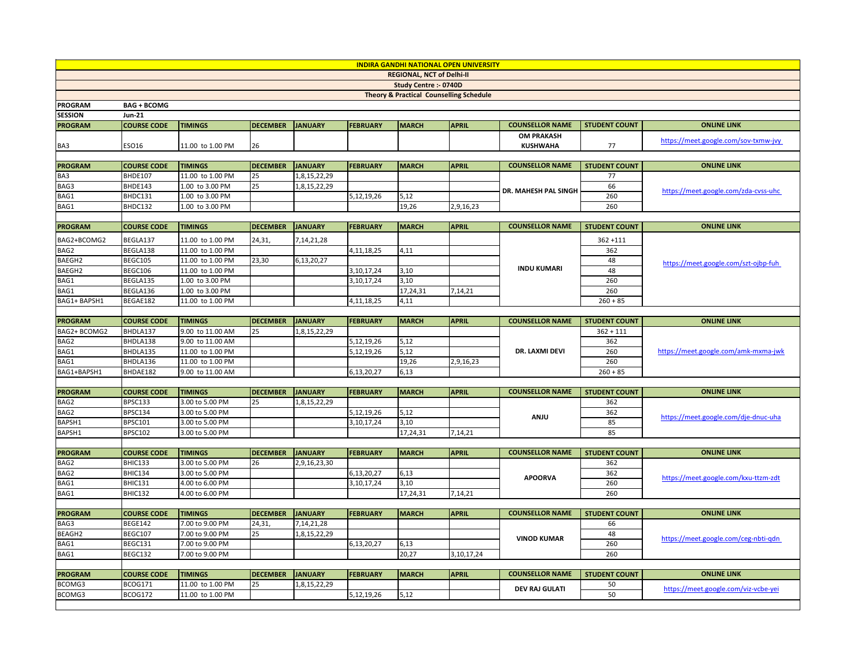| <b>INDIRA GANDHI NATIONAL OPEN UNIVERSITY</b>      |                               |                                    |                 |                |                 |              |              |                        |                      |                                      |  |  |
|----------------------------------------------------|-------------------------------|------------------------------------|-----------------|----------------|-----------------|--------------|--------------|------------------------|----------------------|--------------------------------------|--|--|
| <b>REGIONAL, NCT of Delhi-II</b>                   |                               |                                    |                 |                |                 |              |              |                        |                      |                                      |  |  |
| Study Centre :- 0740D                              |                               |                                    |                 |                |                 |              |              |                        |                      |                                      |  |  |
| <b>Theory &amp; Practical Counselling Schedule</b> |                               |                                    |                 |                |                 |              |              |                        |                      |                                      |  |  |
| <b>PROGRAM</b>                                     | <b>BAG + BCOMG</b>            |                                    |                 |                |                 |              |              |                        |                      |                                      |  |  |
| <b>SESSION</b>                                     | <b>Jun-21</b>                 |                                    |                 |                |                 |              |              |                        |                      |                                      |  |  |
| <b>PROGRAM</b>                                     | <b>COURSE CODE</b>            | <b>TIMINGS</b>                     | <b>DECEMBER</b> | <b>JANUARY</b> | <b>FEBRUARY</b> | <b>MARCH</b> | <b>APRIL</b> | <b>COUNSELLOR NAME</b> | <b>STUDENT COUNT</b> | <b>ONLINE LINK</b>                   |  |  |
|                                                    |                               |                                    |                 |                |                 |              |              | <b>OM PRAKASH</b>      |                      | https://meet.google.com/sov-txmw-jvy |  |  |
| BA3                                                | ESO16                         | 11.00 to 1.00 PM                   | 26              |                |                 |              |              | <b>KUSHWAHA</b>        | 77                   |                                      |  |  |
|                                                    |                               |                                    |                 |                |                 |              |              |                        |                      |                                      |  |  |
| <b>PROGRAM</b>                                     | <b>COURSE CODE</b>            | <b>TIMINGS</b>                     | <b>DECEMBER</b> | <b>JANUARY</b> | <b>FEBRUARY</b> | <b>MARCH</b> | <b>APRIL</b> | <b>COUNSELLOR NAME</b> | <b>STUDENT COUNT</b> | <b>ONLINE LINK</b>                   |  |  |
| BA3                                                | <b>BHDE107</b>                | 11.00 to 1.00 PM                   | 25              | 1,8,15,22,29   |                 |              |              |                        | 77                   | https://meet.google.com/zda-cvss-uhc |  |  |
| BAG3                                               | BHDE143                       | 1.00 to 3.00 PM                    | 25              | 1,8,15,22,29   |                 |              |              | DR. MAHESH PAL SINGH   | 66                   |                                      |  |  |
| BAG1                                               | BHDC131                       | 1.00 to 3.00 PM                    |                 |                | 5,12,19,26      | 5,12         |              |                        | 260                  |                                      |  |  |
| BAG1                                               | BHDC132                       | 1.00 to 3.00 PM                    |                 |                |                 | 19,26        | 2,9,16,23    |                        | 260                  |                                      |  |  |
| <b>PROGRAM</b>                                     | <b>COURSE CODE</b>            | <b>TIMINGS</b>                     | <b>DECEMBER</b> | <b>JANUARY</b> | <b>FEBRUARY</b> | <b>MARCH</b> | <b>APRIL</b> | <b>COUNSELLOR NAME</b> | <b>STUDENT COUNT</b> | <b>ONLINE LINK</b>                   |  |  |
|                                                    |                               |                                    |                 |                |                 |              |              |                        |                      |                                      |  |  |
| BAG2+BCOMG2                                        | BEGLA137                      | 11.00 to 1.00 PM                   | 24,31,          | 7,14,21,28     |                 |              |              |                        | $362 + 111$          |                                      |  |  |
| BAG2                                               | BEGLA138                      | 11.00 to 1.00 PM                   |                 |                | 4,11,18,25      | 4,11         |              |                        | 362                  |                                      |  |  |
| BAEGH2                                             | BEGC105                       | 11.00 to 1.00 PM                   | 23,30           | 6,13,20,27     |                 |              |              |                        | 48                   | https://meet.google.com/szt-ojbp-fuh |  |  |
| BAEGH2                                             | BEGC106                       | 11.00 to 1.00 PM                   |                 |                | 3,10,17,24      | 3,10         |              | <b>INDU KUMARI</b>     | 48                   |                                      |  |  |
| BAG1                                               | BEGLA135                      | 1.00 to 3.00 PM                    |                 |                | 3,10,17,24      | 3,10         |              |                        | 260                  |                                      |  |  |
| BAG1                                               | BEGLA136                      | 1.00 to 3.00 PM                    |                 |                |                 | 17,24,31     | 7,14,21      |                        | 260                  |                                      |  |  |
| BAG1+ BAPSH1                                       | BEGAE182                      | 11.00 to 1.00 PM                   |                 |                | 4,11,18,25      | 4,11         |              |                        | $260 + 85$           |                                      |  |  |
|                                                    |                               |                                    |                 |                |                 |              |              |                        |                      |                                      |  |  |
| <b>PROGRAM</b>                                     | <b>COURSE CODE</b>            | <b>TIMINGS</b>                     | <b>DECEMBER</b> | <b>JANUARY</b> | <b>FEBRUARY</b> | <b>MARCH</b> | <b>APRIL</b> | <b>COUNSELLOR NAME</b> | <b>STUDENT COUNT</b> | <b>ONLINE LINK</b>                   |  |  |
| BAG2+ BCOMG2                                       | BHDLA137                      | 9.00 to 11.00 AM                   | 25              | 1,8,15,22,29   |                 |              |              |                        | $362 + 111$          | https://meet.google.com/amk-mxma-jwk |  |  |
| BAG2                                               | BHDLA138                      | 9.00 to 11.00 AM                   |                 |                | 5,12,19,26      | 5,12         |              |                        | 362                  |                                      |  |  |
| BAG1                                               | BHDLA135                      | 11.00 to 1.00 PM                   |                 |                | 5,12,19,26      | 5,12         |              | DR. LAXMI DEVI         | 260                  |                                      |  |  |
| BAG1                                               | BHDLA136                      | 11.00 to 1.00 PM                   |                 |                |                 | 19,26        | 2,9,16,23    |                        | 260                  |                                      |  |  |
| BAG1+BAPSH1                                        | BHDAE182                      | 9.00 to 11.00 AM                   |                 |                | 6,13,20,27      | 6,13         |              |                        | $260 + 85$           |                                      |  |  |
|                                                    |                               |                                    |                 |                |                 |              |              |                        |                      | <b>ONLINE LINK</b>                   |  |  |
| <b>PROGRAM</b>                                     | <b>COURSE CODE</b><br>BPSC133 | <b>TIMINGS</b>                     | <b>DECEMBER</b> | <b>JANUARY</b> | <b>FEBRUARY</b> | <b>MARCH</b> | <b>APRIL</b> | <b>COUNSELLOR NAME</b> | <b>STUDENT COUNT</b> |                                      |  |  |
| BAG2                                               |                               | 3.00 to 5.00 PM                    | 25              | 1,8,15,22,29   |                 |              |              |                        | 362                  |                                      |  |  |
| BAG2                                               | BPSC134<br><b>BPSC101</b>     | 3.00 to 5.00 PM                    |                 |                | 5,12,19,26      | 5,12<br>3,10 |              | <b>ANJU</b>            | 362<br>85            | https://meet.google.com/dje-dnuc-uha |  |  |
| BAPSH1<br>BAPSH1                                   | <b>BPSC102</b>                | 3.00 to 5.00 PM<br>3.00 to 5.00 PM |                 |                | 3,10,17,24      | 17,24,31     | 7,14,21      |                        | 85                   |                                      |  |  |
|                                                    |                               |                                    |                 |                |                 |              |              |                        |                      |                                      |  |  |
| <b>PROGRAM</b>                                     | <b>COURSE CODE</b>            | <b>TIMINGS</b>                     | <b>DECEMBER</b> | <b>JANUARY</b> | <b>FEBRUARY</b> | <b>MARCH</b> | <b>APRIL</b> | <b>COUNSELLOR NAME</b> | <b>STUDENT COUNT</b> | <b>ONLINE LINK</b>                   |  |  |
| BAG2                                               | BHIC133                       | 3.00 to 5.00 PM                    | 26              | 2,9,16,23,30   |                 |              |              |                        | 362                  |                                      |  |  |
| BAG2                                               | BHIC134                       | 3.00 to 5.00 PM                    |                 |                | 6,13,20,27      | 6,13         |              | <b>APOORVA</b>         | 362                  |                                      |  |  |
| BAG1                                               | BHIC131                       | 4.00 to 6.00 PM                    |                 |                | 3,10,17,24      | 3,10         |              |                        | 260                  | https://meet.google.com/kxu-ttzm-zdt |  |  |
| BAG1                                               | BHIC132                       | 4.00 to 6.00 PM                    |                 |                |                 | 17,24,31     | 7,14,21      |                        | 260                  |                                      |  |  |
|                                                    |                               |                                    |                 |                |                 |              |              |                        |                      |                                      |  |  |
| <b>PROGRAM</b>                                     | <b>COURSE CODE</b>            | <b>TIMINGS</b>                     | <b>DECEMBER</b> | JANUARY        | <b>FEBRUARY</b> | <b>MARCH</b> | <b>APRIL</b> | <b>COUNSELLOR NAME</b> | <b>STUDENT COUNT</b> | <b>ONLINE LINK</b>                   |  |  |
| BAG3                                               | <b>BEGE142</b>                | 7.00 to 9.00 PM                    | 24,31           | 7,14,21,28     |                 |              |              | <b>VINOD KUMAR</b>     | 66                   |                                      |  |  |
| BEAGH2                                             | BEGC107                       | 7.00 to 9.00 PM                    | 25              | 1,8,15,22,29   |                 |              |              |                        | 48                   |                                      |  |  |
| BAG1                                               | BEGC131                       | 7.00 to 9.00 PM                    |                 |                | 6,13,20,27      | 6,13         |              |                        | 260                  | https://meet.google.com/ceg-nbti-gdn |  |  |
| BAG1                                               | BEGC132                       | 7.00 to 9.00 PM                    |                 |                |                 | 20,27        | 3,10,17,24   |                        | 260                  |                                      |  |  |
|                                                    |                               |                                    |                 |                |                 |              |              |                        |                      |                                      |  |  |
| <b>PROGRAM</b>                                     | <b>COURSE CODE</b>            | <b>TIMINGS</b>                     | <b>DECEMBER</b> | <b>JANUARY</b> | <b>FEBRUARY</b> | <b>MARCH</b> | <b>APRIL</b> | <b>COUNSELLOR NAME</b> | <b>STUDENT COUNT</b> | <b>ONLINE LINK</b>                   |  |  |
| BCOMG3                                             | BCOG171                       | 11.00 to 1.00 PM                   | 25              | 1,8,15,22,29   |                 |              |              | <b>DEV RAJ GULATI</b>  | 50                   | https://meet.google.com/viz-vcbe-yei |  |  |
| BCOMG3                                             | BCOG172                       | 11.00 to 1.00 PM                   |                 |                | 5,12,19,26      | 5,12         |              |                        | 50                   |                                      |  |  |
|                                                    |                               |                                    |                 |                |                 |              |              |                        |                      |                                      |  |  |